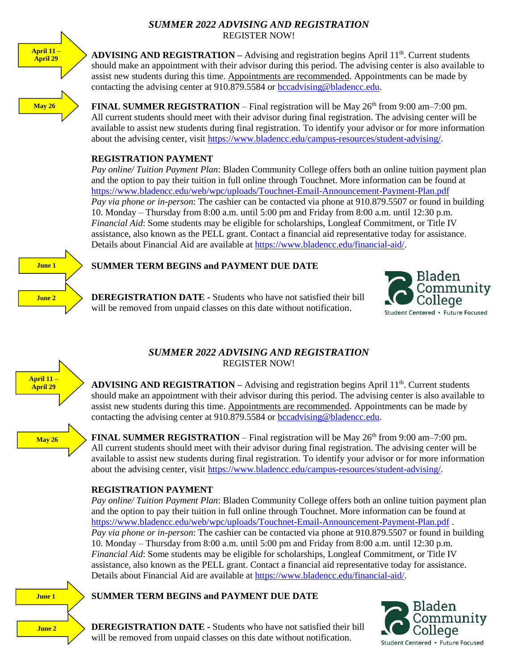## *SUMMER 2022 ADVISING AND REGISTRATION* REGISTER NOW!



**ADVISING AND REGISTRATION –** Advising and registration begins April 11<sup>th</sup>. Current students should make an appointment with their advisor during this period. The advising center is also available to assist new students during this time. Appointments are recommended. Appointments can be made by contacting the advising center at 910.879.5584 or [bccadvising@bladencc.edu.](mailto:bccadvising@bladencc.edu)

**FINAL SUMMER REGISTRATION** – Final registration will be May  $26<sup>th</sup>$  from 9:00 am–7:00 pm. All current students should meet with their advisor during final registration. The advising center will be available to assist new students during final registration. To identify your advisor or for more information about the advising center, visit [https://www.bladencc.edu/campus-resources/student-advising/.](https://www.bladencc.edu/campus-resources/student-advising/)

# **REGISTRATION PAYMENT**

*Pay online/ Tuition Payment Plan*: Bladen Community College offers both an online tuition payment plan and the option to pay their tuition in full online through Touchnet. More information can be found at <https://www.bladencc.edu/web/wpc/uploads/Touchnet-Email-Announcement-Payment-Plan.pdf> *Pay via phone or in-person*: The cashier can be contacted via phone at 910.879.5507 or found in building 10. Monday – Thursday from 8:00 a.m. until 5:00 pm and Friday from 8:00 a.m. until 12:30 p.m. *Financial Aid*: Some students may be eligible for scholarships, Longleaf Commitment, or Title IV assistance, also known as the PELL grant. Contact a financial aid representative today for assistance. Details about Financial Aid are available at [https://www.bladencc.edu/financial-aid/.](https://www.bladencc.edu/financial-aid/)



# **SUMMER TERM BEGINS and PAYMENT DUE DATE**

**DEREGISTRATION DATE -** Students who have not satisfied their bill will be removed from unpaid classes on this date without notification.





# *SUMMER 2022 ADVISING AND REGISTRATION* REGISTER NOW!

**ADVISING AND REGISTRATION –** Advising and registration begins April 11<sup>th</sup>. Current students should make an appointment with their advisor during this period. The advising center is also available to assist new students during this time. Appointments are recommended. Appointments can be made by contacting the advising center at 910.879.5584 or [bccadvising@bladencc.edu.](mailto:bccadvising@bladencc.edu)

**May 26** 

**FINAL SUMMER REGISTRATION – Final registration will be May**  $26<sup>th</sup>$  **from 9:00 am–7:00 pm.** All current students should meet with their advisor during final registration. The advising center will be available to assist new students during final registration. To identify your advisor or for more information about the advising center, visit [https://www.bladencc.edu/campus-resources/student-advising/.](https://www.bladencc.edu/campus-resources/student-advising/)

# **REGISTRATION PAYMENT**

*Pay online/ Tuition Payment Plan*: Bladen Community College offers both an online tuition payment plan and the option to pay their tuition in full online through Touchnet. More information can be found at <https://www.bladencc.edu/web/wpc/uploads/Touchnet-Email-Announcement-Payment-Plan.pdf> . *Pay via phone or in-person*: The cashier can be contacted via phone at 910.879.5507 or found in building 10. Monday – Thursday from 8:00 a.m. until 5:00 pm and Friday from 8:00 a.m. until 12:30 p.m. *Financial Aid*: Some students may be eligible for scholarships, Longleaf Commitment, or Title IV assistance, also known as the PELL grant. Contact a financial aid representative today for assistance. Details about Financial Aid are available at [https://www.bladencc.edu/financial-aid/.](https://www.bladencc.edu/financial-aid/)

## **SUMMER TERM BEGINS and PAYMENT DUE DATE**



**DEREGISTRATION DATE -** Students who have not satisfied their bill will be removed from unpaid classes on this date without notification.